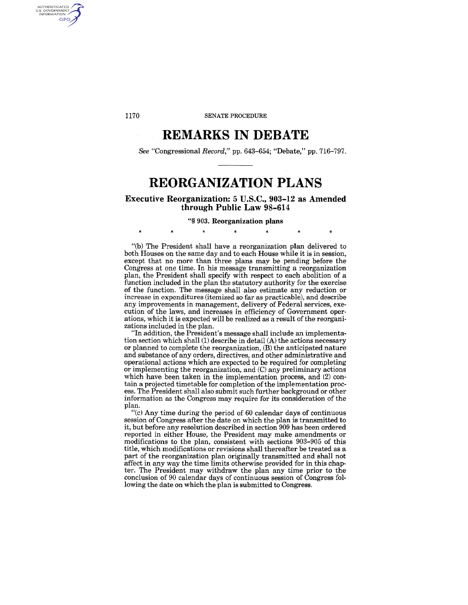1170 SENATE PROCEDURE

# **REMARKS IN DEBATE**

*See* "Congressional *Record,"* pp. 643-654; "Debate," pp. 716-797.

# **REORGANIZATION PLANS**

Executive Reorganization: 5 U.S.C., 903-12 as Amended through Public Law 98-614

### "§ 903. Reorganization plans

 $\ast$  ,  $\ast$  ,  $\ast$  ,  $\ast$  ,  $\ast$  ,  $\ast$  ,  $\ast$ 

"(b) The President shall have a reorganization plan delivered to both Houses on the same day and to each House while it is in session, except that no more than three plans may be pending before the Congress at one time. In his message transmitting a reorganization plan, the President shall specify with respect to each abolition of a function included in the plan the statutory authority for the exercise of the function. The message shall also estimate any reduction or increase in expenditures (itemized so far as practicable), and describe any improvements in management, delivery of Federal services, execution of the laws, and increases in efficiency of Government operations, which it is expected will be realized as a result of the reorganizations included in the plan.

"In addition, the President's message shall include an implementation section which shall (1) describe in detail (A) the actions necessary or planned to complete the reorganization, (B) the anticipated nature and substance of any orders, directives, and other administrative and operational actions which are expected to be required for completing or implementing the reorganization, and (C) any preliminary actions which have been taken in the implementation process, and (2) contain a projected timetable for completion of the implementation process. The President shall also submit such further background or otber information as the Congress may require for its consideration of the plan.

"(c) Any time during the period of 60 calendar days of continuous session of Congress after the date on which the plan is transmitted to it, but before any resolution described in section 909 has been ordered reported in either House, the President may make amendments or modifications to the plan, consistent with sections 903-905 of this title, which modifications or revisions sball thereafter be treated as a part of the reorganization plan originally transmitted and shall not affect in any way the time limits otherwise provided for in this chapter. The President may withdraw the plan any time prior to the conclusion of 90 calendar days of continuous session of Congress following the date on which the plan is submitted to Congress.

AUTHENTICATED<br>U.S. GOVERNMENT<br>INFORMATION **GPO**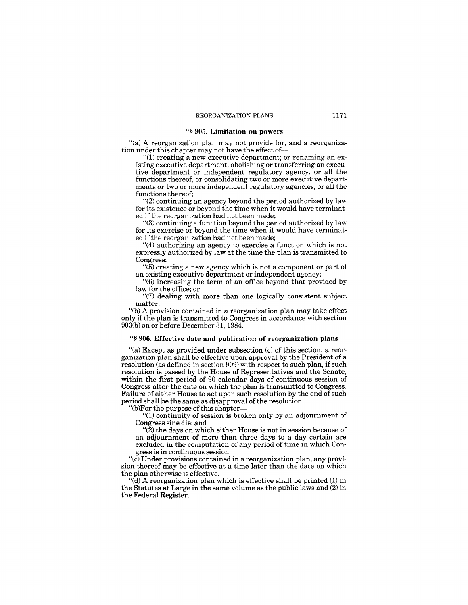#### "§ **905. Limitation on powers**

"(a) A reorganization plan may not provide for, and a reorganization under this chapter may not have the effect of-

 $(1)$  creating a new executive department; or renaming an existing executive department, abolishing or transferring an executive department or independent regulatory agency, or all the functions thereof, or consolidating two or more executive departments or two or more independent regulatory agencies, or all the functions thereof;

"(2) continuing an agency beyond the period authorized by law for its existence or beyond the time when it would have terminated if the reorganization had not been made;

"(3) continuing a function beyond the period authorized by law for its exercise or beyond the time when it would have terminated if the reorganization had not been made;

"(4) authorizing an agency to exercise a function which is not expressly authorized by law at the time the plan is transmitted to Congress;

 $\cdot$ <sup>(5)</sup>) creating a new agency which is not a component or part of an existing executive department or independent agency;

"(6) increasing the term of an office beyond that provided by law for the office; or

"(7) dealing with more than one logically consistent subject matter.

"Cb) A provision contained in a reorganization plan may take effect only if the plan is transmitted to Congress in accordance with section  $903(b)$  on or before December 31, 1984.

#### "§ **906. Effective date and publication of reorganization plans**

"(a) Except as provided under subsection (c) of this section, a reorganization plan shall be effective upon approval by the President of a resolution (as defined in section 909) with respect to such plan, if such resolution is passed by the House of Representatives and the Senate, within the first period of 90 calendar days of continuous session of Congress after the date on which the plan is transmitted to Congress. Failure of either House to act upon such resolution by the end of such period shall be the same as disapproval of the resolution.

'(b)For the purpose of this chapter-

"(1) continuity of session is broken only by an adjournment of Congress sine die; and

 $\mathcal{L}(2)$  the days on which either House is not in session because of an adjournment of more than three days to a day certain are excluded in the computation of any period of time in which Congress is **in** continuous session.

"(c) Under provisions contained in a reorganization plan, any provision thereof may be effective at a time later than the date on which the plan otherwise is effective.

 $\ddot{d}$ ) A reorganization plan which is effective shall be printed (1) in the Statutes at Large in the same volume as the public laws and (2) in the Federal Register.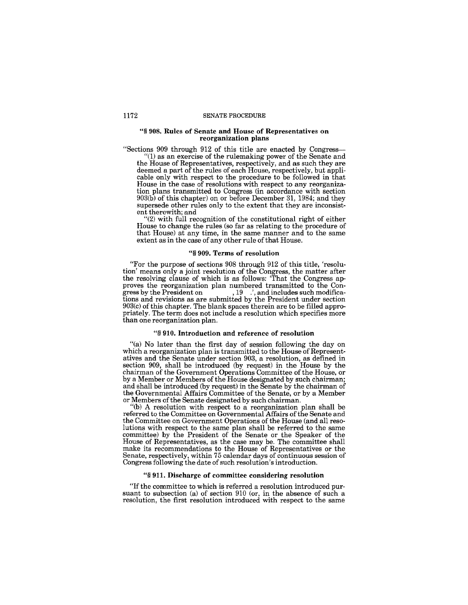#### 1172 SENATE PROCEDURE

#### "§ 908. Rules of Senate and House of Representatives on reorganization plans

"Sections 909 through 912 of this title are enacted by Congress- "(1) as an exercise of the rulemaking power of the Senate and the House of Representatives, respectively, and as such they are deemed a part of the rules of each House, respectively, but applicable only with respect to the procedure to be followed in that House in the case of resolutions with respect to any reorganization plans transmitted to Congress (in accordance with section 903(b) of this chapter) on or before December 31, 1984; and they supersede other rules only to the extent that they are inconsistent therewith; and

"(2) with full recognition of the constitutional right of either House to change the rules (so far as relating to the procedure of that House) at any time, in the same manner and to the same extent as in the case of any other rule of that House.

# "§ 909. Terms of resolution

"For the purpose of sections 908 through 912 of this title, 'resolution' means only a joint resolution of the Congress, the matter after the resolving clause of which is as follows: 'That the Congress approves the reorganization plan numbered transmitted to the Congress by the President on  $\hspace{1cm}$ ,  $19$   $\hspace{0.1cm}$ , and includes such modifications and revisions as are submitted by the President under section 903(c) of this chapter. The blank spaces therein are to be filled appropriately. The term does not include a resolution which specifies more than one reorganization plan.

#### "§ 910. Introduction and reference of resolution

"(a) No later than the first day of session following the day on which a reorganization plan is transmitted to the House of Representatives and the Senate under section 903, a resolution, as defined in section 909, shall be introduced (by request) in the House by the chairman of the Government Operations Committee of the House, or by a Member or Members of the House designated by such chairman; and shall be introduced (by request) in the Senate by the chairman of the Governmental Affairs Committee of the Senate, or by a Member or Members of the Senate designated by such chairman.

(b) A resolution with respect to a reorganization plan shall be referred to the Committee on Governmental Affairs of the Senate and the Committee on Government Operations of the House (and all resolutions with respect to the same plan shall be referred to the same committee) by the President of the Senate or the Speaker of the House of Representatives, as the case may be. The committee shall make its recommendations to the House of Representatives or the Senate, respectively, within 75 calendar days of continuous session of Congress following the date of such resolution's introduction.

### "§ 911. Discharge of committee considering resolution

"If the committee to which is referred a resolution introduced pursuant to subsection (a) of section 910 (or, in the absence of such a resolution, the first resolution introduced with respect to the same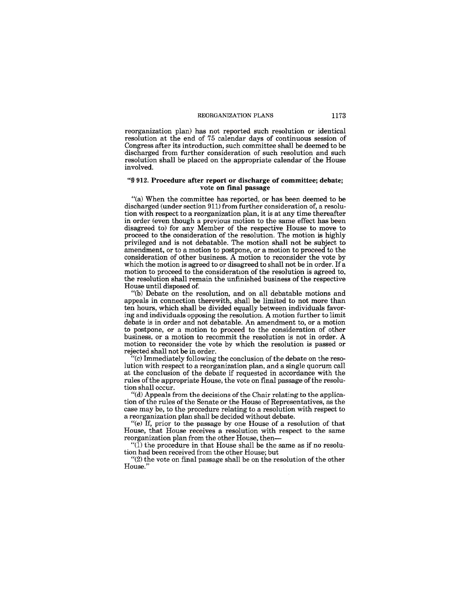reorganization plan) has not reported such resolution or identical resolution at the end of 75 calendar days of continuous session of Congress after its introduction, such committee shall be deemed to be discharged from further consideration of such resolution and such resolution shall be placed on the appropriate calendar of the House involved.

#### "§ 912. Procedure after report or discharge of committee; debate; vote on final passage

"(a) When the committee has reported, or has been deemed to be discharged (under section 911) from further consideration of, a resolution with respect to a reorganization plan, it is at any time thereafter in order (even though a previous motion to the same effect has been disagreed to) for any Member of the respective House to move to proceed to the consideration of the resolution. The motion is highly privileged and is not debatable. The motion shall not be subject to amendment, or to a motion to postpone, or a motion to proceed to the consideration of other business. A motion to reconsider the vote by which the motion is agreed to or disagreed to shall not be in order. If a motion to proceed to the consideration of the resolution is agreed to, the resolution shall remain the unfinished business of the respective House until disposed of.

"(b) Debate on the resolution, and on all debatable motions and appeals in connection therewith, shall be limited to not more than ten hours, which shall be divided equally between individuals favoring and individuals opposing the resolution. A motion further to limit debate is in order and not debatable. An amendment to, or a motion to postpone, or a motion to proceed to the consideration of other business, or a motion to recommit the resolution is not in order. A motion to reconsider the vote by which the resolution is passed or rejected shall not be in order.

"(c) Immediately following the conclusion of the debate on the resolution with respect to a reorganization plan, and a single quorum call at the conclusion of the debate if requested in accordance with the rules of the appropriate House, the vote on final passage of the resolution shall occur.

 $H(d)$  Appeals from the decisions of the Chair relating to the application of the rules of the Senate or the House of Representatives, as the case may be, to the procedure relating to a resolution with respect to a reorganization plan shall be decided without debate.

"(e) If, prior to the passage by one House of a resolution of that House, that House receives a resolution with respect to the same reorganization plan from the other House, then-

 $\cdot$ <sup>"(1)</sup> the procedure in that House shall be the same as if no resolution had been received from the other House; but

"(2) the vote on final passage shall be on the resolution of the other House."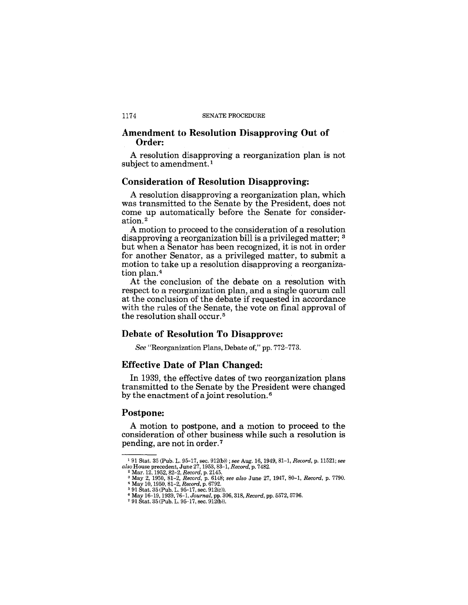## Amendment to Resolution Disapproving Out of Order:

A resolution disapproving a reorganization plan is not subject to amendment.<sup>1</sup>

### Consideration of Resolution Disapproving:

A resolution disapproving a reorganization plan, which was transmitted to the Senate by the President, does not come up automatically before the Senate for consideration. <sup>2</sup>

A motion to proceed to the consideration of a resolution disapproving a reorganization bill is a privileged matter; 3 but when a Senator has been recognized, it is not in order for another Senator, as a privileged matter, to submit a motion to take up a resolution disapproving a reorganization plan. <sup>4</sup>

At the conclusion of the debate on a resolution with respect to a reorganization plan, and a single quorum call at the conclusion of the debate if requested in accordance with the rules of the Senate, the vote on final approval of the resolution shall occur. 5

### Debate of Resolution To Disapprove:

*See* "Reorganization Plans, Debate of," pp. 772-773.

# Effective Date of Plan Changed:

In 1939, the effective dates of two reorganization plans transmitted to the Senate by the President were changed by the enactment of a joint resolution. 6

### Postpone:

A motion to postpone, and a motion to proceed to the consideration of other business while such a resolution is pending, are not in order. 7

<sup>&#</sup>x27;91 Stat. 35 (Pub. L. 95-17, sec. 912(b»; *see* Aug. 16, 1949, 81-1, *Record,* p. 11521; *see also* House precedent, June 27, 1953,83-1, *Record,* p. 7482.

<sup>&</sup>lt;sup>2</sup> Mar. 12, 1952, 82–2, *Record*, p. 2145.<br><sup>3</sup> May 2, 1950, 81–2, *Record*, p. 6148; *see also June 27*, 1947, 80–1, *Record*, p. 7790.<br><sup>4</sup> May 10, 1950, 81–2, *Record*, p. 6792.<br><sup>5</sup> 91 Stat. 35 (Pub. L. 95–17, sec. 912(c